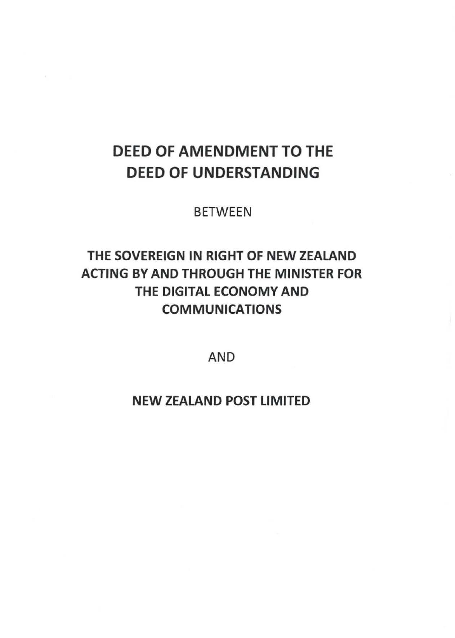# DEED OF AMENDMENT TO THE DEED OF UNDERSTANDING

BETWEEN

## THE SOVEREIGN IN RIGHT OF NEW ZEALAND ACTING BY AND THROUGH THE MINISTER FOR THE DIGITAL ECONOMY AND COMMUNICATIONS

AND

NEW ZEALAND POST LIMITED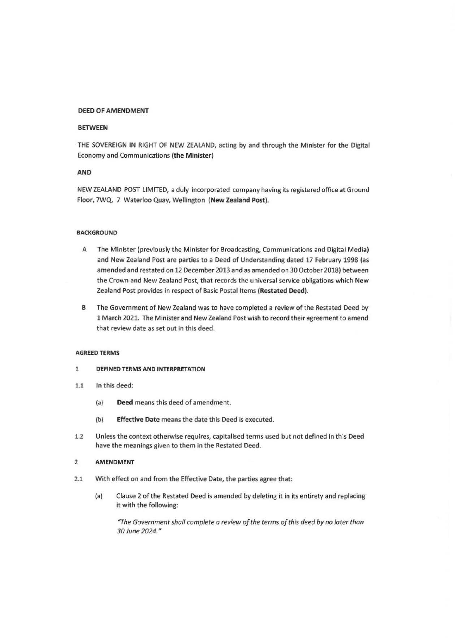#### **DEED OF AMENDMENT**

#### **BETWEEN**

THE SOVEREIGN IN RIGHT OF NEW ZEALAND, acting by and through the Minister for the Digital Economy and Communications **(the Minister)** 

#### **AND**

NEW ZEALAND POST LIMITED, a duly incorporated company having its registered office at Ground Floor, 7WQ, 7 Waterloo Quay, Wellington **(New Zealand Post).** 

#### **BACKGROUND**

- A The Minister (previously the Minister for Broadcasting, Communications and Digital Media) and New Zealand Post are parties to a Deed of Understanding dated 17 February 1998 (as amended and restated on 12 December 2013 and as amended on 30 October 2018) between the Crown and New Zealand Post, that records the universal service obligations which New Zealand Post provides in respect of Basic Postal Items (Restated Deed).
- B The Government of New Zealand was to have completed a review of the Restated Deed by 1 March 2021. The Minister and New Zealand Post wish to record their agreement to amend that review date as set out in this deed.

#### **AGREED TERMS**

- 1 **DEFINED TERMS AND INTERPRETATION**
- 1.1 In this deed:
	- (a) **Deed** means this deed of amendment.
	- (b) **Effective Date** means the date this Deed is executed.
- 1.2 Unless the context otherwise requires, capitalised terms used but not defined in this Deed have the meanings given to them in the Restated Deed.

#### 2 **AMENDMENT**

- 2.1 With effect on and from the Effective Date, the parties agree that:
	- (a) Clause 2 of the Restated Deed is amended by deleting it in its entirety and replacing it with the following:

*"The Government shall complete a review of the terms of this deed by no later than 30 June 2024."*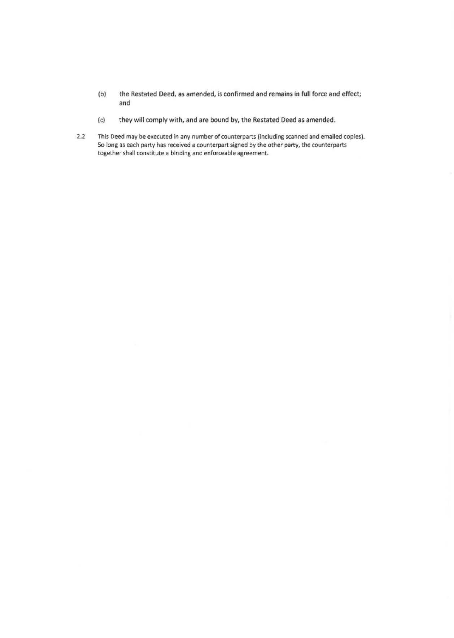- (b) the Restated Deed, as amended, is confirmed and remains in full force and effect; and
- (c) they will comply with, and are bound by, the Restated Deed as amended.
- 2.2 This Deed may be executed in any number of counterparts (including scanned and emailed copies). So long as each party has received a counterpart signed by the other party, the counterparts together shall constitute a binding and enforceable agreement.